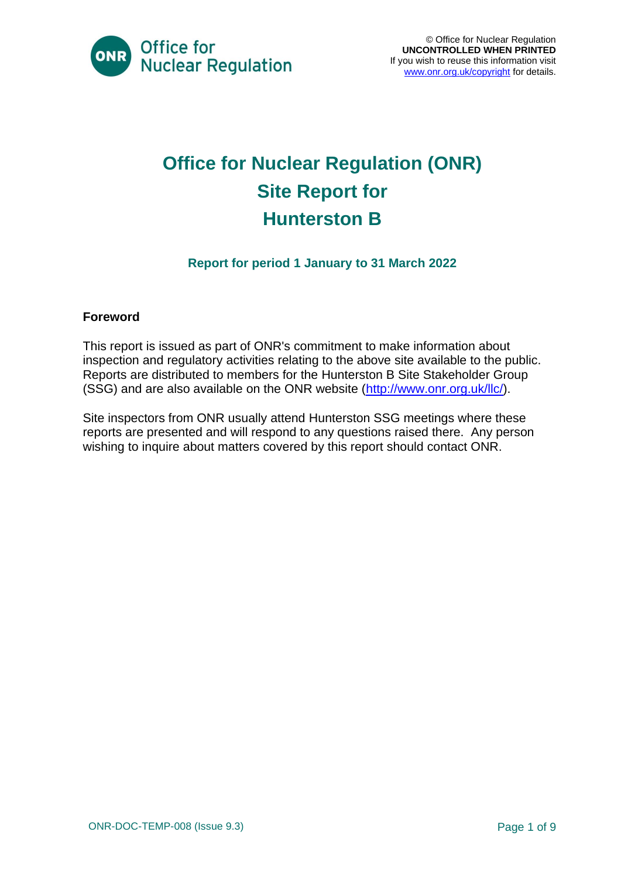

## **Office for Nuclear Regulation (ONR) Site Report for Hunterston B**

#### **Report for period 1 January to 31 March 2022**

#### **Foreword**

This report is issued as part of ONR's commitment to make information about inspection and regulatory activities relating to the above site available to the public. Reports are distributed to members for the Hunterston B Site Stakeholder Group (SSG) and are also available on the ONR website [\(http://www.onr.org.uk/llc/\)](http://www.onr.org.uk/llc/).

Site inspectors from ONR usually attend Hunterston SSG meetings where these reports are presented and will respond to any questions raised there. Any person wishing to inquire about matters covered by this report should contact ONR.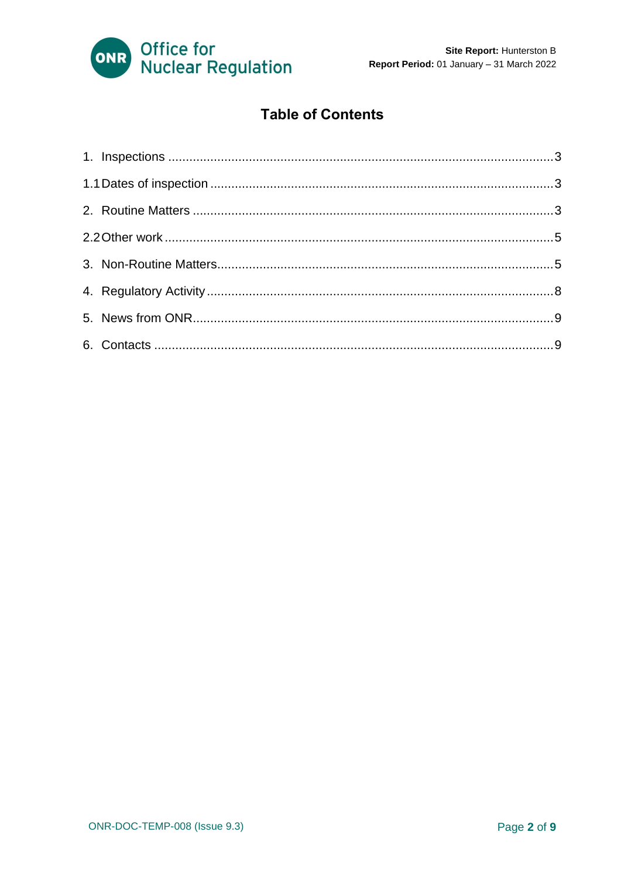

#### **Table of Contents**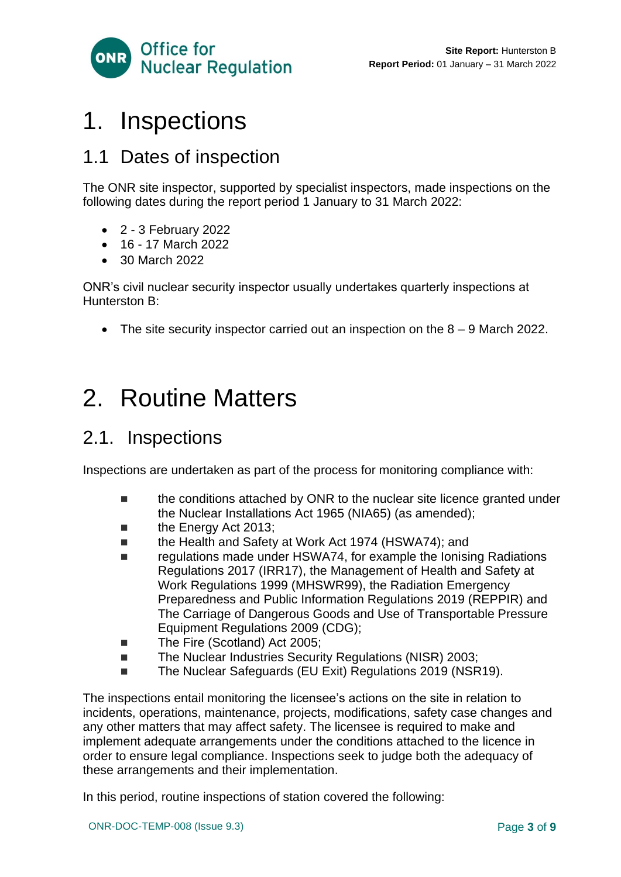

# <span id="page-2-0"></span>1. Inspections

## <span id="page-2-1"></span>1.1 Dates of inspection

The ONR site inspector, supported by specialist inspectors, made inspections on the following dates during the report period 1 January to 31 March 2022:

- 2 3 February 2022
- 16 17 March 2022
- 30 March 2022

ONR's civil nuclear security inspector usually undertakes quarterly inspections at Hunterston B:

• The site security inspector carried out an inspection on the 8 – 9 March 2022.

# <span id="page-2-2"></span>2. Routine Matters

## 2.1. Inspections

Inspections are undertaken as part of the process for monitoring compliance with:

- the conditions attached by ONR to the nuclear site licence granted under the Nuclear Installations Act 1965 (NIA65) (as amended);
- the Energy Act 2013;
- the Health and Safety at Work Act 1974 (HSWA74); and
- regulations made under HSWA74, for example the Ionising Radiations Regulations 2017 (IRR17), the Management of Health and Safety at Work Regulations 1999 (MHSWR99), the Radiation Emergency Preparedness and Public Information Regulations 2019 (REPPIR) and The Carriage of Dangerous Goods and Use of Transportable Pressure Equipment Regulations 2009 (CDG);
- The Fire (Scotland) Act 2005;
- The Nuclear Industries Security Regulations (NISR) 2003;
- The Nuclear Safeguards (EU Exit) Regulations 2019 (NSR19).

The inspections entail monitoring the licensee's actions on the site in relation to incidents, operations, maintenance, projects, modifications, safety case changes and any other matters that may affect safety. The licensee is required to make and implement adequate arrangements under the conditions attached to the licence in order to ensure legal compliance. Inspections seek to judge both the adequacy of these arrangements and their implementation.

In this period, routine inspections of station covered the following: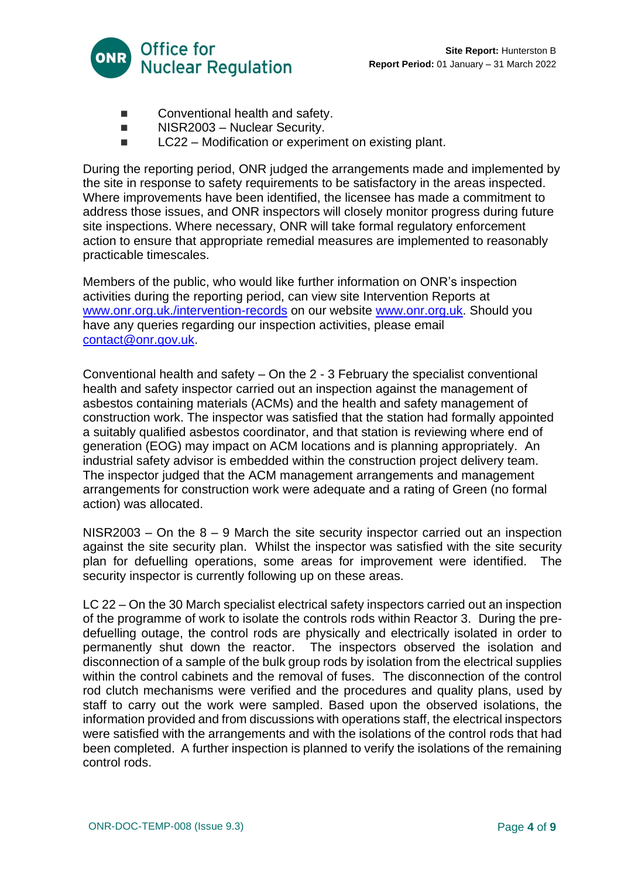

- Conventional health and safety.
- NISR2003 Nuclear Security.
- LC22 Modification or experiment on existing plant.

During the reporting period, ONR judged the arrangements made and implemented by the site in response to safety requirements to be satisfactory in the areas inspected. Where improvements have been identified, the licensee has made a commitment to address those issues, and ONR inspectors will closely monitor progress during future site inspections. Where necessary, ONR will take formal regulatory enforcement action to ensure that appropriate remedial measures are implemented to reasonably practicable timescales.

Members of the public, who would like further information on ONR's inspection activities during the reporting period, can view site Intervention Reports at [www.onr.org.uk./intervention-records](http://www.onr.org.uk./intervention-records) on our website [www.onr.org.uk.](http://www.onr.org.uk/) Should you have any queries regarding our inspection activities, please email [contact@onr.gov.uk.](mailto:contact@onr.gov.uk)

Conventional health and safety – On the 2 - 3 February the specialist conventional health and safety inspector carried out an inspection against the management of asbestos containing materials (ACMs) and the health and safety management of construction work. The inspector was satisfied that the station had formally appointed a suitably qualified asbestos coordinator, and that station is reviewing where end of generation (EOG) may impact on ACM locations and is planning appropriately. An industrial safety advisor is embedded within the construction project delivery team. The inspector judged that the ACM management arrangements and management arrangements for construction work were adequate and a rating of Green (no formal action) was allocated.

 $NISR2003 - On$  the  $8 - 9$  March the site security inspector carried out an inspection against the site security plan. Whilst the inspector was satisfied with the site security plan for defuelling operations, some areas for improvement were identified. The security inspector is currently following up on these areas.

LC 22 – On the 30 March specialist electrical safety inspectors carried out an inspection of the programme of work to isolate the controls rods within Reactor 3. During the predefuelling outage, the control rods are physically and electrically isolated in order to permanently shut down the reactor. The inspectors observed the isolation and disconnection of a sample of the bulk group rods by isolation from the electrical supplies within the control cabinets and the removal of fuses. The disconnection of the control rod clutch mechanisms were verified and the procedures and quality plans, used by staff to carry out the work were sampled. Based upon the observed isolations, the information provided and from discussions with operations staff, the electrical inspectors were satisfied with the arrangements and with the isolations of the control rods that had been completed. A further inspection is planned to verify the isolations of the remaining control rods.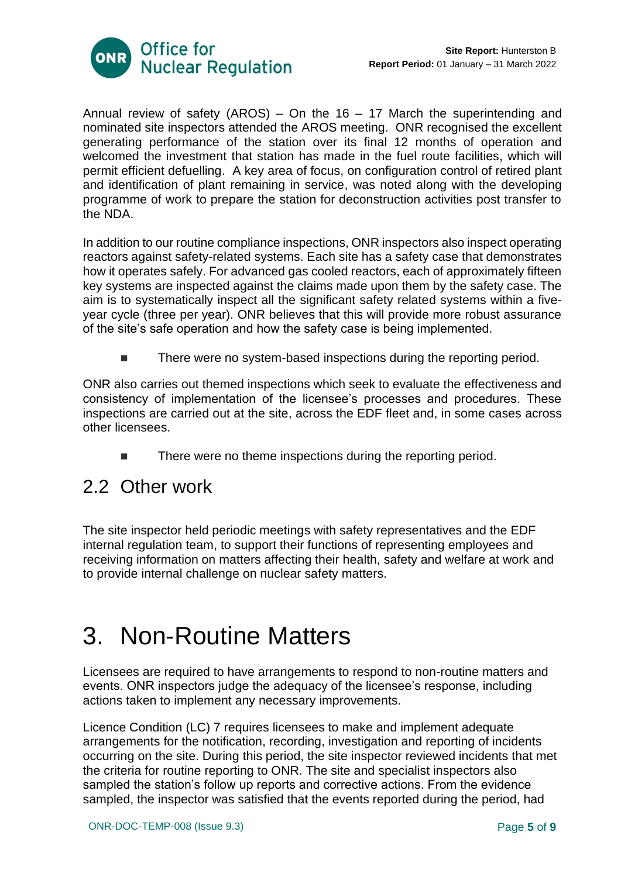

Annual review of safety (AROS) – On the 16 – 17 March the superintending and nominated site inspectors attended the AROS meeting. ONR recognised the excellent generating performance of the station over its final 12 months of operation and welcomed the investment that station has made in the fuel route facilities, which will permit efficient defuelling. A key area of focus, on configuration control of retired plant and identification of plant remaining in service, was noted along with the developing programme of work to prepare the station for deconstruction activities post transfer to the NDA.

In addition to our routine compliance inspections, ONR inspectors also inspect operating reactors against safety-related systems. Each site has a safety case that demonstrates how it operates safely. For advanced gas cooled reactors, each of approximately fifteen key systems are inspected against the claims made upon them by the safety case. The aim is to systematically inspect all the significant safety related systems within a fiveyear cycle (three per year). ONR believes that this will provide more robust assurance of the site's safe operation and how the safety case is being implemented.

■ There were no system-based inspections during the reporting period.

ONR also carries out themed inspections which seek to evaluate the effectiveness and consistency of implementation of the licensee's processes and procedures. These inspections are carried out at the site, across the EDF fleet and, in some cases across other licensees.

<span id="page-4-0"></span>■ There were no theme inspections during the reporting period.

### 2.2 Other work

The site inspector held periodic meetings with safety representatives and the EDF internal regulation team, to support their functions of representing employees and receiving information on matters affecting their health, safety and welfare at work and to provide internal challenge on nuclear safety matters.

# <span id="page-4-1"></span>3. Non-Routine Matters

Licensees are required to have arrangements to respond to non-routine matters and events. ONR inspectors judge the adequacy of the licensee's response, including actions taken to implement any necessary improvements.

Licence Condition (LC) 7 requires licensees to make and implement adequate arrangements for the notification, recording, investigation and reporting of incidents occurring on the site. During this period, the site inspector reviewed incidents that met the criteria for routine reporting to ONR. The site and specialist inspectors also sampled the station's follow up reports and corrective actions. From the evidence sampled, the inspector was satisfied that the events reported during the period, had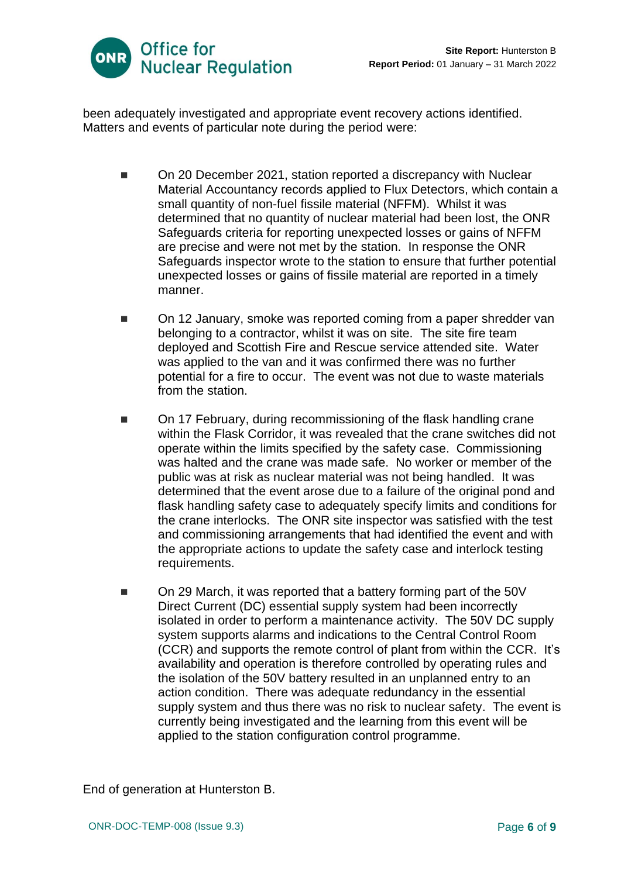

been adequately investigated and appropriate event recovery actions identified. Matters and events of particular note during the period were:

- On 20 December 2021, station reported a discrepancy with Nuclear Material Accountancy records applied to Flux Detectors, which contain a small quantity of non-fuel fissile material (NFFM). Whilst it was determined that no quantity of nuclear material had been lost, the ONR Safeguards criteria for reporting unexpected losses or gains of NFFM are precise and were not met by the station. In response the ONR Safeguards inspector wrote to the station to ensure that further potential unexpected losses or gains of fissile material are reported in a timely manner.
- On 12 January, smoke was reported coming from a paper shredder van belonging to a contractor, whilst it was on site. The site fire team deployed and Scottish Fire and Rescue service attended site. Water was applied to the van and it was confirmed there was no further potential for a fire to occur. The event was not due to waste materials from the station.
- On 17 February, during recommissioning of the flask handling crane within the Flask Corridor, it was revealed that the crane switches did not operate within the limits specified by the safety case. Commissioning was halted and the crane was made safe. No worker or member of the public was at risk as nuclear material was not being handled. It was determined that the event arose due to a failure of the original pond and flask handling safety case to adequately specify limits and conditions for the crane interlocks. The ONR site inspector was satisfied with the test and commissioning arrangements that had identified the event and with the appropriate actions to update the safety case and interlock testing requirements.
- On 29 March, it was reported that a battery forming part of the 50V Direct Current (DC) essential supply system had been incorrectly isolated in order to perform a maintenance activity. The 50V DC supply system supports alarms and indications to the Central Control Room (CCR) and supports the remote control of plant from within the CCR. It's availability and operation is therefore controlled by operating rules and the isolation of the 50V battery resulted in an unplanned entry to an action condition. There was adequate redundancy in the essential supply system and thus there was no risk to nuclear safety. The event is currently being investigated and the learning from this event will be applied to the station configuration control programme.

End of generation at Hunterston B.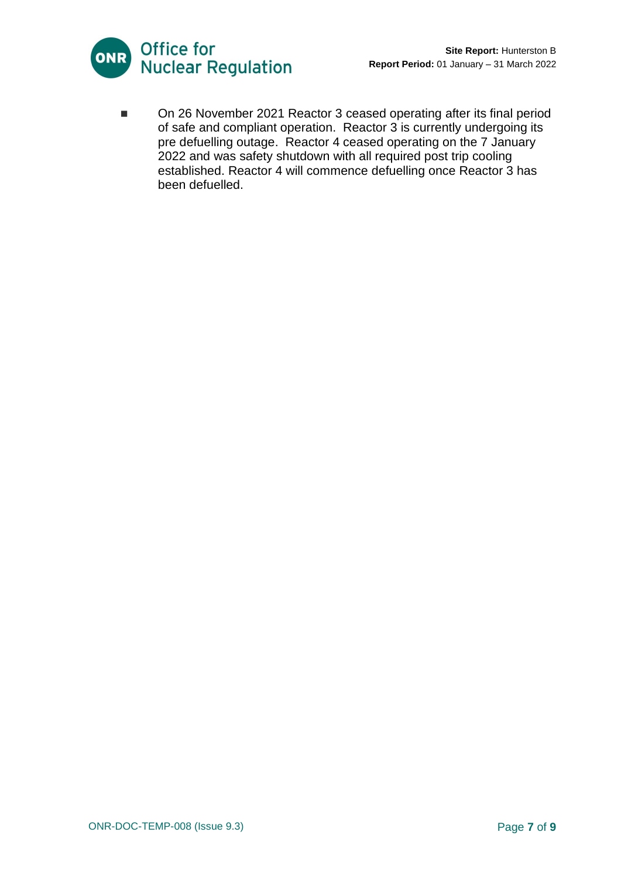



■ On 26 November 2021 Reactor 3 ceased operating after its final period of safe and compliant operation. Reactor 3 is currently undergoing its pre defuelling outage. Reactor 4 ceased operating on the 7 January 2022 and was safety shutdown with all required post trip cooling established. Reactor 4 will commence defuelling once Reactor 3 has been defuelled.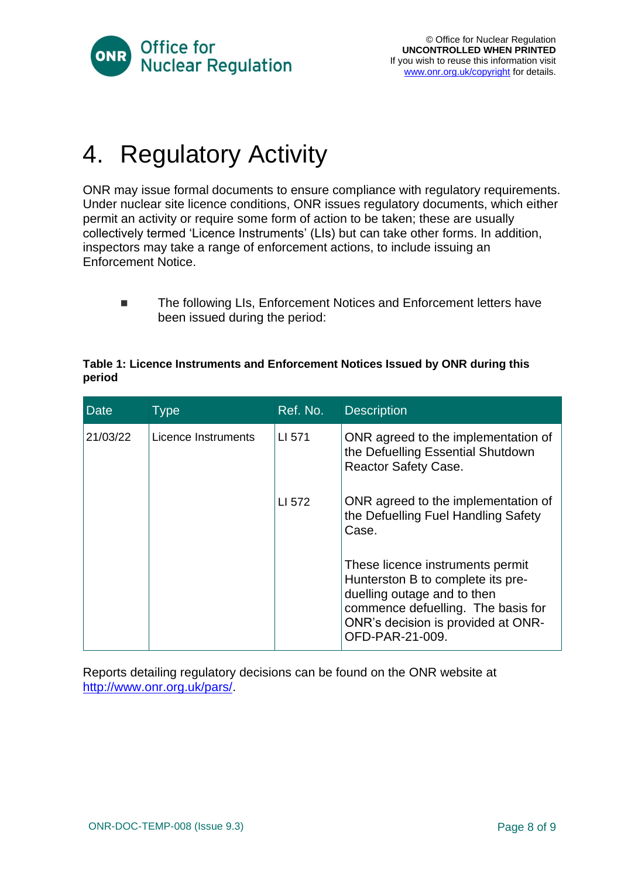

# <span id="page-7-0"></span>4. Regulatory Activity

ONR may issue formal documents to ensure compliance with regulatory requirements. Under nuclear site licence conditions, ONR issues regulatory documents, which either permit an activity or require some form of action to be taken; these are usually collectively termed 'Licence Instruments' (LIs) but can take other forms. In addition, inspectors may take a range of enforcement actions, to include issuing an Enforcement Notice.

■ The following LIs, Enforcement Notices and Enforcement letters have been issued during the period:

#### **Table 1: Licence Instruments and Enforcement Notices Issued by ONR during this period**

| <b>Date</b> | Type                | Ref. No. | <b>Description</b>                                                                                                                                                                                  |
|-------------|---------------------|----------|-----------------------------------------------------------------------------------------------------------------------------------------------------------------------------------------------------|
| 21/03/22    | Licence Instruments | LI 571   | ONR agreed to the implementation of<br>the Defuelling Essential Shutdown<br><b>Reactor Safety Case.</b>                                                                                             |
|             |                     | LI 572   | ONR agreed to the implementation of<br>the Defuelling Fuel Handling Safety<br>Case.                                                                                                                 |
|             |                     |          | These licence instruments permit<br>Hunterston B to complete its pre-<br>duelling outage and to then<br>commence defuelling. The basis for<br>ONR's decision is provided at ONR-<br>OFD-PAR-21-009. |

Reports detailing regulatory decisions can be found on the ONR website at [http://www.onr.org.uk/pars/.](http://www.onr.org.uk/pars/)